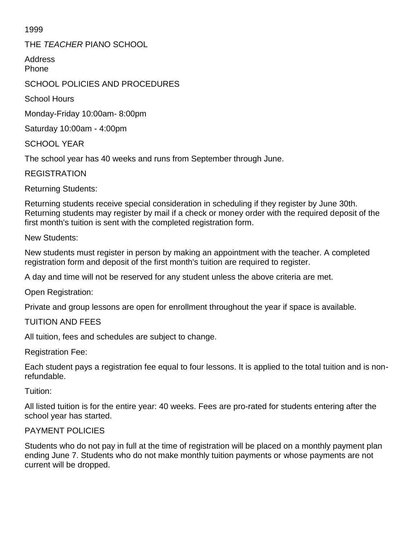1999

THE *TEACHER* PIANO SCHOOL

Address Phone

# SCHOOL POLICIES AND PROCEDURES

School Hours

Monday-Friday 10:00am- 8:00pm

Saturday 10:00am - 4:00pm

SCHOOL YEAR

The school year has 40 weeks and runs from September through June.

REGISTRATION

Returning Students:

Returning students receive special consideration in scheduling if they register by June 30th. Returning students may register by mail if a check or money order with the required deposit of the first month's tuition is sent with the completed registration form.

New Students:

New students must register in person by making an appointment with the teacher. A completed registration form and deposit of the first month's tuition are required to register.

A day and time will not be reserved for any student unless the above criteria are met.

Open Registration:

Private and group lessons are open for enrollment throughout the year if space is available.

#### TUITION AND FEES

All tuition, fees and schedules are subject to change.

Registration Fee:

Each student pays a registration fee equal to four lessons. It is applied to the total tuition and is nonrefundable.

Tuition:

All listed tuition is for the entire year: 40 weeks. Fees are pro-rated for students entering after the school year has started.

## PAYMENT POLICIES

Students who do not pay in full at the time of registration will be placed on a monthly payment plan ending June 7. Students who do not make monthly tuition payments or whose payments are not current will be dropped.